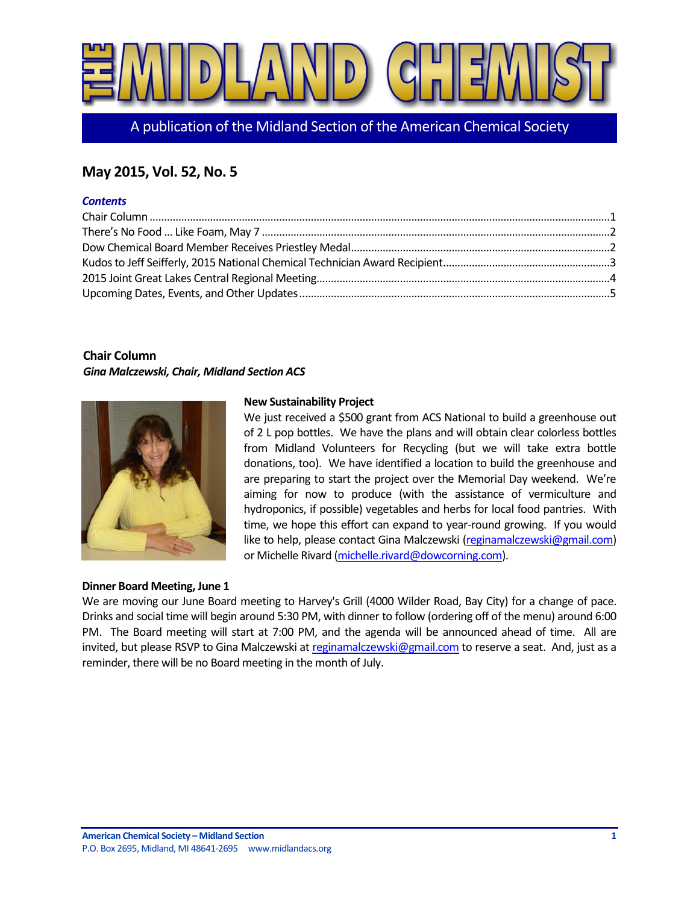

A publication of the Midland Section of the American Chemical Society

# **May 2015, Vol. 52, No. 5**

#### *Contents*

# <span id="page-0-0"></span>**Chair Column**

*Gina Malczewski, Chair, Midland Section ACS*



## **New Sustainability Project**

We just received a \$500 grant from ACS National to build a greenhouse out of 2 L pop bottles. We have the plans and will obtain clear colorless bottles from Midland Volunteers for Recycling (but we will take extra bottle donations, too). We have identified a location to build the greenhouse and are preparing to start the project over the Memorial Day weekend. We're aiming for now to produce (with the assistance of vermiculture and hydroponics, if possible) vegetables and herbs for local food pantries. With time, we hope this effort can expand to year-round growing. If you would like to help, please contact Gina Malczewski [\(reginamalczewski@gmail.com\)](mailto:reginamalczewski@gmail.com) or Michelle Rivard [\(michelle.rivard@dowcorning.com\)](mailto:michelle.rivard@dowcorning.com).

#### **Dinner Board Meeting, June 1**

We are moving our June Board meeting to Harvey's Grill (4000 Wilder Road, Bay City) for a change of pace. Drinks and social time will begin around 5:30 PM, with dinner to follow (ordering off of the menu) around 6:00 PM. The Board meeting will start at 7:00 PM, and the agenda will be announced ahead of time. All are invited, but please RSVP to Gina Malczewski a[t reginamalczewski@gmail.com](mailto:reginamalczewski@gmail.com) to reserve a seat. And, just as a reminder, there will be no Board meeting in the month of July.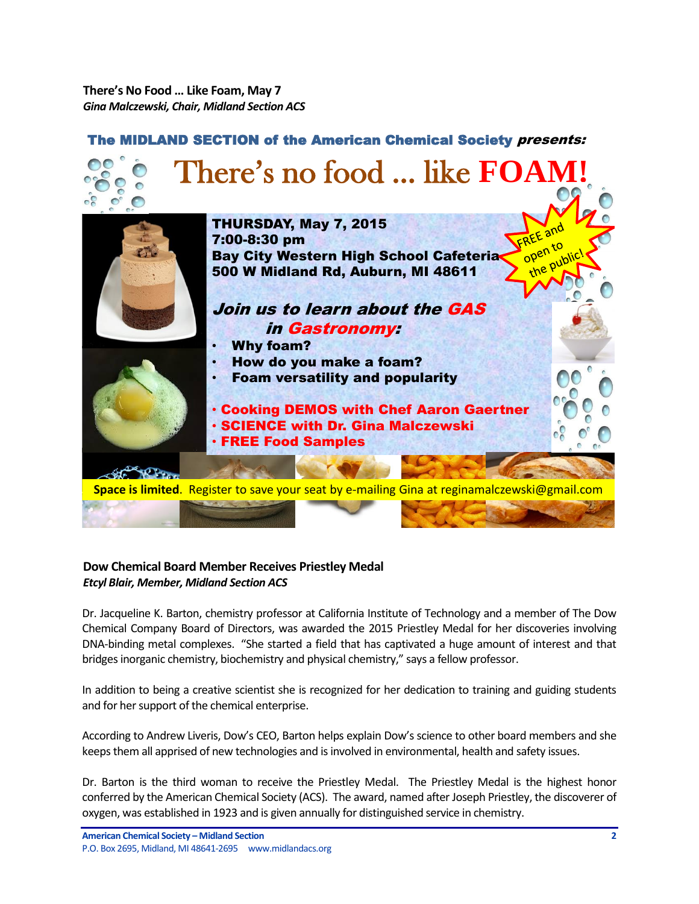<span id="page-1-0"></span>**There's No Food … Like Foam, May 7** *Gina Malczewski, Chair, Midland Section ACS*



# <span id="page-1-1"></span>**Dow Chemical Board Member Receives Priestley Medal** *Etcyl Blair, Member, Midland Section ACS*

Dr. Jacqueline K. Barton, chemistry professor at California Institute of Technology and a member of The Dow Chemical Company Board of Directors, was awarded the 2015 Priestley Medal for her discoveries involving DNA-binding metal complexes. "She started a field that has captivated a huge amount of interest and that bridges inorganic chemistry, biochemistry and physical chemistry," says a fellow professor.

In addition to being a creative scientist she is recognized for her dedication to training and guiding students and for her support of the chemical enterprise.

According to Andrew Liveris, Dow's CEO, Barton helps explain Dow's science to other board members and she keeps them all apprised of new technologies and is involved in environmental, health and safety issues.

Dr. Barton is the third woman to receive the Priestley Medal. The Priestley Medal is the highest honor conferred by the American Chemical Society (ACS). The award, named after Joseph Priestley, the discoverer of oxygen, was established in 1923 and is given annually for distinguished service in chemistry.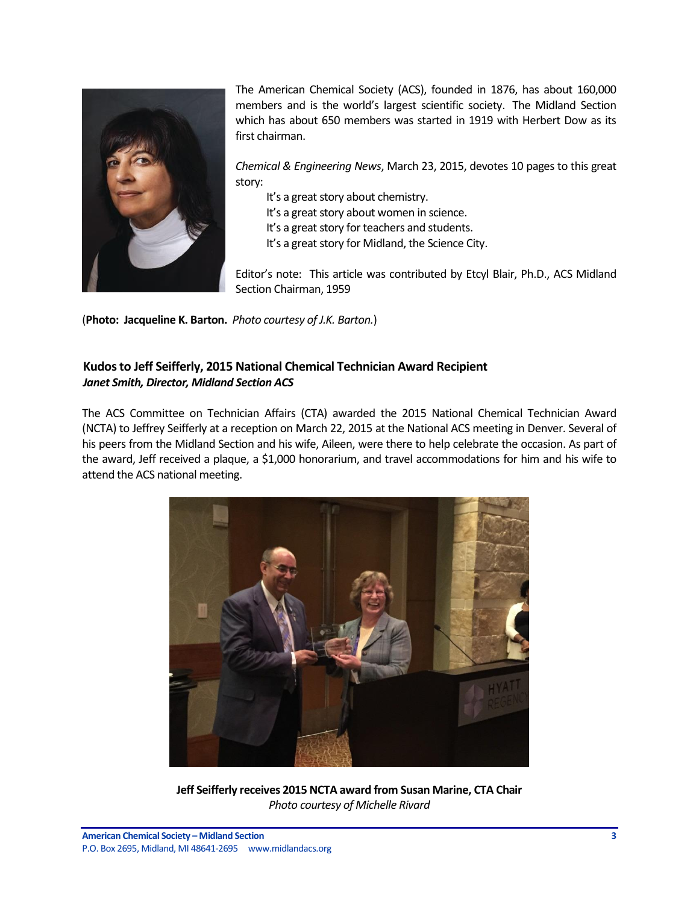

The American Chemical Society (ACS), founded in 1876, has about 160,000 members and is the world's largest scientific society. The Midland Section which has about 650 members was started in 1919 with Herbert Dow as its first chairman.

*Chemical & Engineering News*, March 23, 2015, devotes 10 pages to this great story:

It's a great story about chemistry.

It's a great story about women in science.

It's a great story for teachers and students.

It's a great story for Midland, the Science City.

Editor's note: This article was contributed by Etcyl Blair, Ph.D., ACS Midland Section Chairman, 1959

(**Photo: Jacqueline K. Barton.** *Photo courtesy of J.K. Barton.*)

# <span id="page-2-0"></span>**Kudos to Jeff Seifferly, 2015 National Chemical Technician Award Recipient** *Janet Smith, Director, Midland Section ACS*

The ACS Committee on Technician Affairs (CTA) awarded the 2015 National Chemical Technician Award (NCTA) to Jeffrey Seifferly at a reception on March 22, 2015 at the National ACS meeting in Denver. Several of his peers from the Midland Section and his wife, Aileen, were there to help celebrate the occasion. As part of the award, Jeff received a plaque, a \$1,000 honorarium, and travel accommodations for him and his wife to attend the ACS national meeting.



**Jeff Seifferly receives 2015 NCTA award from Susan Marine, CTA Chair** *Photo courtesy of Michelle Rivard*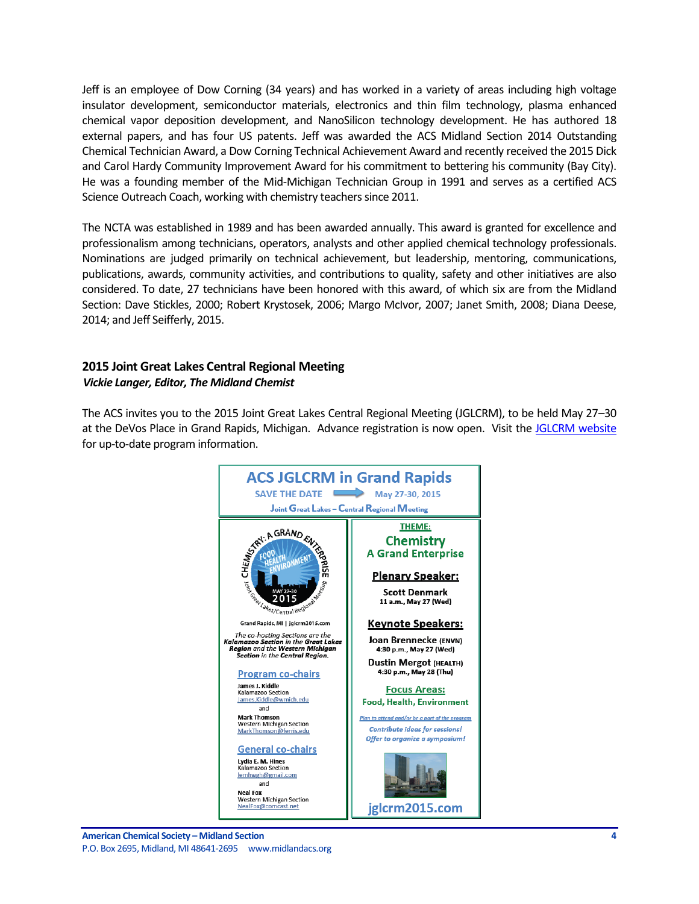Jeff is an employee of Dow Corning (34 years) and has worked in a variety of areas including high voltage insulator development, semiconductor materials, electronics and thin film technology, plasma enhanced chemical vapor deposition development, and NanoSilicon technology development. He has authored 18 external papers, and has four US patents. Jeff was awarded the ACS Midland Section 2014 Outstanding Chemical Technician Award, a Dow Corning Technical Achievement Award and recently received the 2015 Dick and Carol Hardy Community Improvement Award for his commitment to bettering his community (Bay City). He was a founding member of the Mid-Michigan Technician Group in 1991 and serves as a certified ACS Science Outreach Coach, working with chemistry teachers since 2011.

The NCTA was established in 1989 and has been awarded annually. This award is granted for excellence and professionalism among technicians, operators, analysts and other applied chemical technology professionals. Nominations are judged primarily on technical achievement, but leadership, mentoring, communications, publications, awards, community activities, and contributions to quality, safety and other initiatives are also considered. To date, 27 technicians have been honored with this award, of which six are from the Midland Section: Dave Stickles, 2000; Robert Krystosek, 2006; Margo McIvor, 2007; Janet Smith, 2008; Diana Deese, 2014; and Jeff Seifferly, 2015.

## <span id="page-3-0"></span>**2015 Joint Great Lakes Central Regional Meeting** *Vickie Langer, Editor, The Midland Chemist*

The ACS invites you to the 2015 Joint Great Lakes Central Regional Meeting (JGLCRM), to be held May 27–30 at the DeVos Place in Grand Rapids, Michigan. Advance registration is now open. Visit the [JGLCRM website](http://www.mmsend73.com/link.cfm?r=861224567&sid=66044059&m=8917168&u=ACS1&j=25657761&s=http://www.jglcrm2015.com) for up-to-date program information.